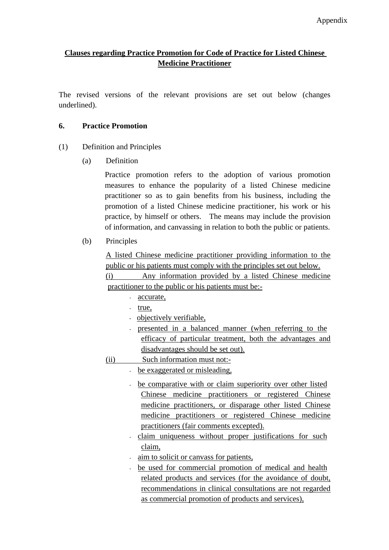# **Clauses regarding Practice Promotion for Code of Practice for Listed Chinese Medicine Practitioner**

The revised versions of the relevant provisions are set out below (changes underlined).

### **6. Practice Promotion**

- (1) Definition and Principles
	- (a) Definition

Practice promotion refers to the adoption of various promotion measures to enhance the popularity of a listed Chinese medicine practitioner so as to gain benefits from his business, including the promotion of a listed Chinese medicine practitioner, his work or his practice, by himself or others. The means may include the provision of information, and canvassing in relation to both the public or patients.

(b) Principles

A listed Chinese medicine practitioner providing information to the public or his patients must comply with the principles set out below.

(i) Any information provided by a listed Chinese medicine practitioner to the public or his patients must be:-

- accurate,
- true,
- objectively verifiable,
- presented in a balanced manner (when referring to the efficacy of particular treatment, both the advantages and disadvantages should be set out).
- (ii) Such information must not:-

- be exaggerated or misleading,

- be comparative with or claim superiority over other listed Chinese medicine practitioners or registered Chinese medicine practitioners, or disparage other listed Chinese medicine practitioners or registered Chinese medicine practitioners (fair comments excepted).
- claim uniqueness without proper justifications for such claim,
- aim to solicit or canvass for patients,
- be used for commercial promotion of medical and health related products and services (for the avoidance of doubt, recommendations in clinical consultations are not regarded as commercial promotion of products and services),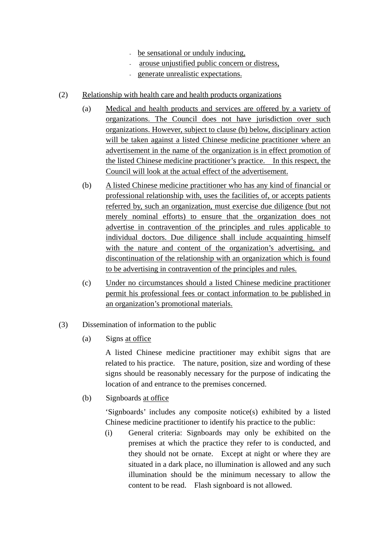- be sensational or unduly inducing,
- arouse unjustified public concern or distress,
- generate unrealistic expectations.
- (2) Relationship with health care and health products organizations
	- (a) Medical and health products and services are offered by a variety of organizations. The Council does not have jurisdiction over such organizations. However, subject to clause (b) below, disciplinary action will be taken against a listed Chinese medicine practitioner where an advertisement in the name of the organization is in effect promotion of the listed Chinese medicine practitioner's practice. In this respect, the Council will look at the actual effect of the advertisement.
	- (b) A listed Chinese medicine practitioner who has any kind of financial or professional relationship with, uses the facilities of, or accepts patients referred by, such an organization, must exercise due diligence (but not merely nominal efforts) to ensure that the organization does not advertise in contravention of the principles and rules applicable to individual doctors. Due diligence shall include acquainting himself with the nature and content of the organization's advertising, and discontinuation of the relationship with an organization which is found to be advertising in contravention of the principles and rules.
	- (c) Under no circumstances should a listed Chinese medicine practitioner permit his professional fees or contact information to be published in an organization's promotional materials.
- (3) Dissemination of information to the public
	- (a) Signs at office

A listed Chinese medicine practitioner may exhibit signs that are related to his practice. The nature, position, size and wording of these signs should be reasonably necessary for the purpose of indicating the location of and entrance to the premises concerned.

(b) Signboards at office

'Signboards' includes any composite notice(s) exhibited by a listed Chinese medicine practitioner to identify his practice to the public:

(i) General criteria: Signboards may only be exhibited on the premises at which the practice they refer to is conducted, and they should not be ornate. Except at night or where they are situated in a dark place, no illumination is allowed and any such illumination should be the minimum necessary to allow the content to be read. Flash signboard is not allowed.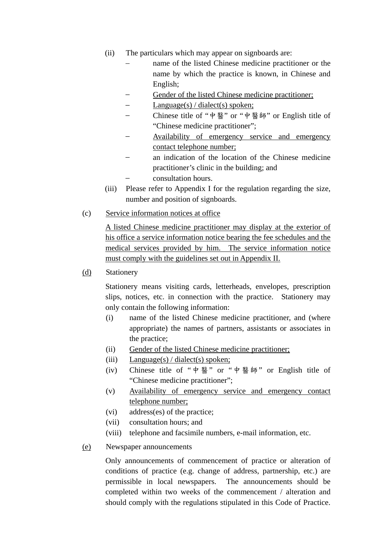- (ii) The particulars which may appear on signboards are:
	- name of the listed Chinese medicine practitioner or the name by which the practice is known, in Chinese and English;
	- Gender of the listed Chinese medicine practitioner;
	- $Language(s) / dialect(s) spoken;$
	- − Chinese title of "中醫" or "中醫師" or English title of "Chinese medicine practitioner";
	- Availability of emergency service and emergency contact telephone number;
	- an indication of the location of the Chinese medicine practitioner's clinic in the building; and − consultation hours.
- (iii) Please refer to Appendix I for the regulation regarding the size, number and position of signboards.
- (c) Service information notices at office

A listed Chinese medicine practitioner may display at the exterior of his office a service information notice bearing the fee schedules and the medical services provided by him. The service information notice must comply with the guidelines set out in Appendix II.

#### (d) Stationery

Stationery means visiting cards, letterheads, envelopes, prescription slips, notices, etc. in connection with the practice. Stationery may only contain the following information:

- (i) name of the listed Chinese medicine practitioner, and (where appropriate) the names of partners, assistants or associates in the practice;
- (ii) Gender of the listed Chinese medicine practitioner;
- (iii) Language(s) / dialect(s) spoken;
- (iv) Chinese title of "中醫" or "中醫師" or English title of "Chinese medicine practitioner";
- (v) Availability of emergency service and emergency contact telephone number;
- (vi) address(es) of the practice;
- (vii) consultation hours; and
- (viii) telephone and facsimile numbers, e-mail information, etc.
- (e) Newspaper announcements

Only announcements of commencement of practice or alteration of conditions of practice (e.g. change of address, partnership, etc.) are permissible in local newspapers. The announcements should be completed within two weeks of the commencement / alteration and should comply with the regulations stipulated in this Code of Practice.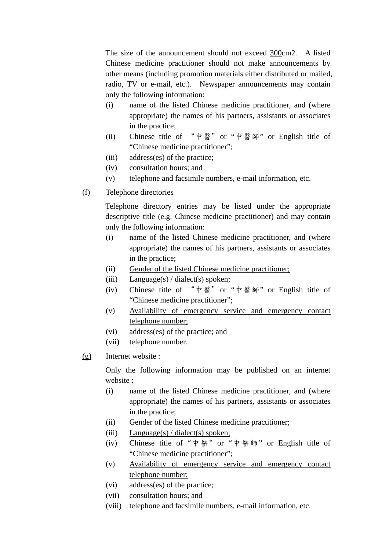The size of the announcement should not exceed 300cm2. A listed Chinese medicine practitioner should not make announcements by other means (including promotion materials either distributed or mailed, radio, TV or e-mail, etc.). Newspaper announcements may contain only the following information:

- (i) name of the listed Chinese medicine practitioner, and (where appropriate) the names of his partners, assistants or associates in the practice;
- (ii) Chinese title of "中醫"or "中醫師" or English title of "Chinese medicine practitioner";
- (iii) address(es) of the practice;
- (iv) consultation hours; and
- (v) telephone and facsimile numbers, e-mail information, etc.
- (f) Telephone directories

Telephone directory entries may be listed under the appropriate descriptive title (e.g. Chinese medicine practitioner) and may contain only the following information:

- (i) name of the listed Chinese medicine practitioner, and (where appropriate) the names of his partners, assistants or associates in the practice;
- (ii) Gender of the listed Chinese medicine practitioner;
- (iii)  $Language(s) / dialect(s) spoken;$
- (iv) Chinese title of "中醫"or "中醫師" or English title of "Chinese medicine practitioner";
- (v) Availability of emergency service and emergency contact telephone number;
- (vi) address(es) of the practice; and
- (vii) telephone number.
- (g) Internet website :

Only the following information may be published on an internet website :

- (i) name of the listed Chinese medicine practitioner, and (where appropriate) the names of his partners, assistants or associates in the practice;
- (ii) Gender of the listed Chinese medicine practitioner;
- (iii) Language(s) / dialect(s) spoken;
- (iv) Chinese title of "中醫" or "中醫師" or English title of "Chinese medicine practitioner";
- (v) Availability of emergency service and emergency contact telephone number;
- (vi) address(es) of the practice;
- (vii) consultation hours; and
- (viii) telephone and facsimile numbers, e-mail information, etc.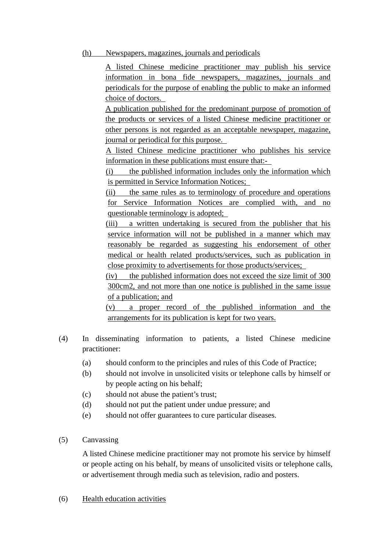### (h) Newspapers, magazines, journals and periodicals

A listed Chinese medicine practitioner may publish his service information in bona fide newspapers, magazines, journals and periodicals for the purpose of enabling the public to make an informed choice of doctors.

A publication published for the predominant purpose of promotion of the products or services of a listed Chinese medicine practitioner or other persons is not regarded as an acceptable newspaper, magazine, journal or periodical for this purpose.

A listed Chinese medicine practitioner who publishes his service information in these publications must ensure that:-

(i) the published information includes only the information which is permitted in Service Information Notices;

(ii) the same rules as to terminology of procedure and operations for Service Information Notices are complied with, and no questionable terminology is adopted;

(iii) a written undertaking is secured from the publisher that his service information will not be published in a manner which may reasonably be regarded as suggesting his endorsement of other medical or health related products/services, such as publication in close proximity to advertisements for those products/services;

(iv) the published information does not exceed the size limit of 300 300cm2, and not more than one notice is published in the same issue of a publication; and

(v) a proper record of the published information and the arrangements for its publication is kept for two years.

- (4) In disseminating information to patients, a listed Chinese medicine practitioner:
	- (a) should conform to the principles and rules of this Code of Practice;
	- (b) should not involve in unsolicited visits or telephone calls by himself or by people acting on his behalf;
	- (c) should not abuse the patient's trust;
	- (d) should not put the patient under undue pressure; and
	- (e) should not offer guarantees to cure particular diseases.
- (5) Canvassing

A listed Chinese medicine practitioner may not promote his service by himself or people acting on his behalf, by means of unsolicited visits or telephone calls, or advertisement through media such as television, radio and posters.

#### (6) Health education activities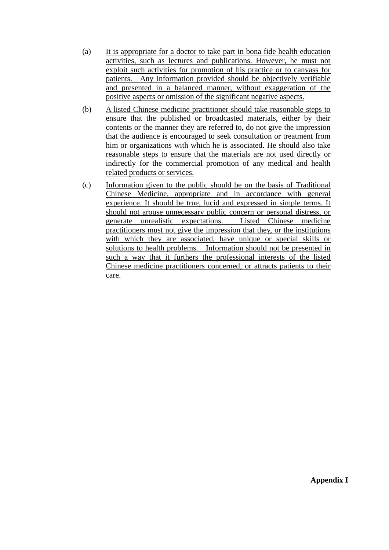- (a) It is appropriate for a doctor to take part in bona fide health education activities, such as lectures and publications. However, he must not exploit such activities for promotion of his practice or to canvass for patients. Any information provided should be objectively verifiable and presented in a balanced manner, without exaggeration of the positive aspects or omission of the significant negative aspects.
- (b) A listed Chinese medicine practitioner should take reasonable steps to ensure that the published or broadcasted materials, either by their contents or the manner they are referred to, do not give the impression that the audience is encouraged to seek consultation or treatment from him or organizations with which he is associated. He should also take reasonable steps to ensure that the materials are not used directly or indirectly for the commercial promotion of any medical and health related products or services.
- (c) Information given to the public should be on the basis of Traditional Chinese Medicine, appropriate and in accordance with general experience. It should be true, lucid and expressed in simple terms. It should not arouse unnecessary public concern or personal distress, or generate unrealistic expectations. Listed Chinese medicine practitioners must not give the impression that they, or the institutions with which they are associated, have unique or special skills or solutions to health problems. Information should not be presented in such a way that it furthers the professional interests of the listed Chinese medicine practitioners concerned, or attracts patients to their care.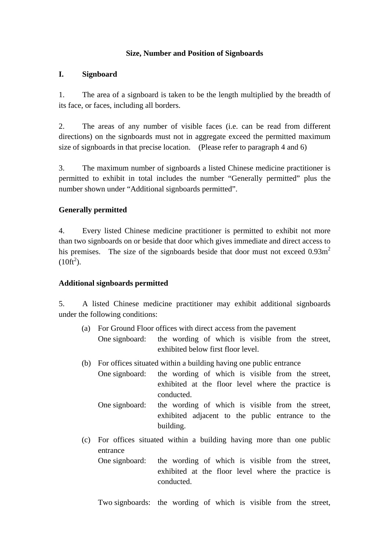### **Size, Number and Position of Signboards**

#### **I. Signboard**

1. The area of a signboard is taken to be the length multiplied by the breadth of its face, or faces, including all borders.

2. The areas of any number of visible faces (i.e. can be read from different directions) on the signboards must not in aggregate exceed the permitted maximum size of signboards in that precise location. (Please refer to paragraph 4 and 6)

3. The maximum number of signboards a listed Chinese medicine practitioner is permitted to exhibit in total includes the number "Generally permitted" plus the number shown under "Additional signboards permitted".

### **Generally permitted**

4. Every listed Chinese medicine practitioner is permitted to exhibit not more than two signboards on or beside that door which gives immediate and direct access to his premises. The size of the signboards beside that door must not exceed 0.93m<sup>2</sup>  $(10 \text{ft}^2)$ .

### **Additional signboards permitted**

5. A listed Chinese medicine practitioner may exhibit additional signboards under the following conditions:

- (a) For Ground Floor offices with direct access from the pavement One signboard: the wording of which is visible from the street, exhibited below first floor level.
- (b) For offices situated within a building having one public entrance
	- One signboard: the wording of which is visible from the street, exhibited at the floor level where the practice is conducted.
		- One signboard: the wording of which is visible from the street, exhibited adjacent to the public entrance to the building.
- (c) For offices situated within a building having more than one public entrance One signboard: the wording of which is visible from the street,
	- exhibited at the floor level where the practice is conducted.

Two signboards: the wording of which is visible from the street,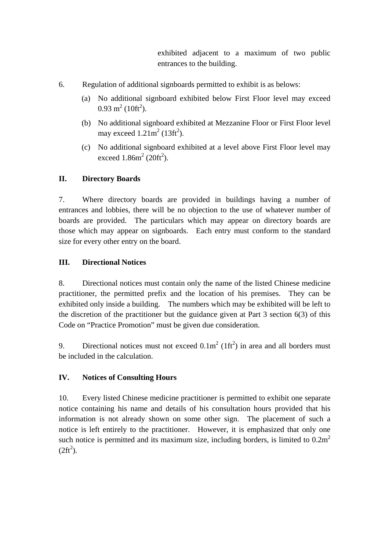exhibited adjacent to a maximum of two public entrances to the building.

- 6. Regulation of additional signboards permitted to exhibit is as belows:
	- (a) No additional signboard exhibited below First Floor level may exceed  $0.93 \text{ m}^2 (10 \text{ft}^2)$ .
	- (b) No additional signboard exhibited at Mezzanine Floor or First Floor level may exceed  $1.21m^2$  (13ft<sup>2</sup>).
	- (c) No additional signboard exhibited at a level above First Floor level may exceed  $1.86m^2(20ft^2)$ .

# **II. Directory Boards**

7. Where directory boards are provided in buildings having a number of entrances and lobbies, there will be no objection to the use of whatever number of boards are provided. The particulars which may appear on directory boards are those which may appear on signboards. Each entry must conform to the standard size for every other entry on the board.

## **III. Directional Notices**

8. Directional notices must contain only the name of the listed Chinese medicine practitioner, the permitted prefix and the location of his premises. They can be exhibited only inside a building. The numbers which may be exhibited will be left to the discretion of the practitioner but the guidance given at Part 3 section 6(3) of this Code on "Practice Promotion" must be given due consideration.

9. Directional notices must not exceed  $0.1 \text{m}^2 (1 \text{ft}^2)$  in area and all borders must be included in the calculation.

## **IV. Notices of Consulting Hours**

10. Every listed Chinese medicine practitioner is permitted to exhibit one separate notice containing his name and details of his consultation hours provided that his information is not already shown on some other sign. The placement of such a notice is left entirely to the practitioner. However, it is emphasized that only one such notice is permitted and its maximum size, including borders, is limited to  $0.2m<sup>2</sup>$  $(2ft^2)$ .